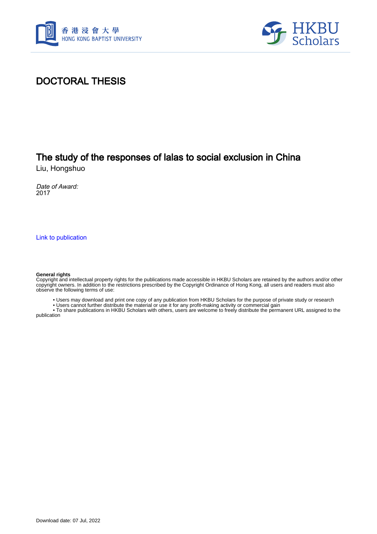



## DOCTORAL THESIS

# The study of the responses of lalas to social exclusion in China

Liu, Hongshuo

Date of Award: 2017

[Link to publication](https://scholars.hkbu.edu.hk/en/studentTheses/149886d9-bfbc-47aa-98a8-734feb1b8c96)

#### **General rights**

Copyright and intellectual property rights for the publications made accessible in HKBU Scholars are retained by the authors and/or other copyright owners. In addition to the restrictions prescribed by the Copyright Ordinance of Hong Kong, all users and readers must also observe the following terms of use:

• Users may download and print one copy of any publication from HKBU Scholars for the purpose of private study or research

• Users cannot further distribute the material or use it for any profit-making activity or commercial gain

 • To share publications in HKBU Scholars with others, users are welcome to freely distribute the permanent URL assigned to the publication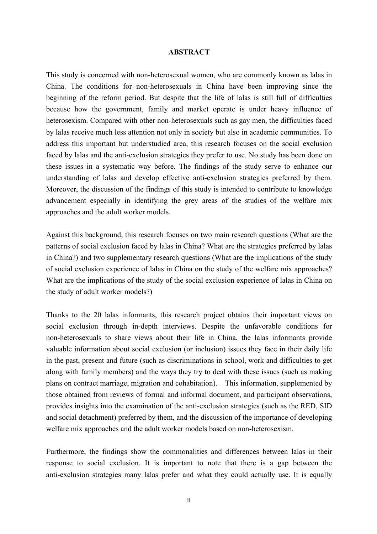### **ABSTRACT**

This study is concerned with non-heterosexual women, who are commonly known as lalas in China. The conditions for non-heterosexuals in China have been improving since the beginning of the reform period. But despite that the life of lalas is still full of difficulties because how the government, family and market operate is under heavy influence of heterosexism. Compared with other non-heterosexuals such as gay men, the difficulties faced by lalas receive much less attention not only in society but also in academic communities. To address this important but understudied area, this research focuses on the social exclusion faced by lalas and the anti-exclusion strategies they prefer to use. No study has been done on these issues in a systematic way before. The findings of the study serve to enhance our understanding of lalas and develop effective anti-exclusion strategies preferred by them. Moreover, the discussion of the findings of this study is intended to contribute to knowledge advancement especially in identifying the grey areas of the studies of the welfare mix approaches and the adult worker models.

Against this background, this research focuses on two main research questions (What are the patterns of social exclusion faced by lalas in China? What are the strategies preferred by lalas in China?) and two supplementary research questions (What are the implications of the study of social exclusion experience of lalas in China on the study of the welfare mix approaches? What are the implications of the study of the social exclusion experience of lalas in China on the study of adult worker models?)

Thanks to the 20 lalas informants, this research project obtains their important views on social exclusion through in-depth interviews. Despite the unfavorable conditions for non-heterosexuals to share views about their life in China, the lalas informants provide valuable information about social exclusion (or inclusion) issues they face in their daily life in the past, present and future (such as discriminations in school, work and difficulties to get along with family members) and the ways they try to deal with these issues (such as making plans on contract marriage, migration and cohabitation). This information, supplemented by those obtained from reviews of formal and informal document, and participant observations, provides insights into the examination of the anti-exclusion strategies (such as the RED, SID and social detachment) preferred by them, and the discussion of the importance of developing welfare mix approaches and the adult worker models based on non-heterosexism.

Furthermore, the findings show the commonalities and differences between lalas in their response to social exclusion. It is important to note that there is a gap between the anti-exclusion strategies many lalas prefer and what they could actually use. It is equally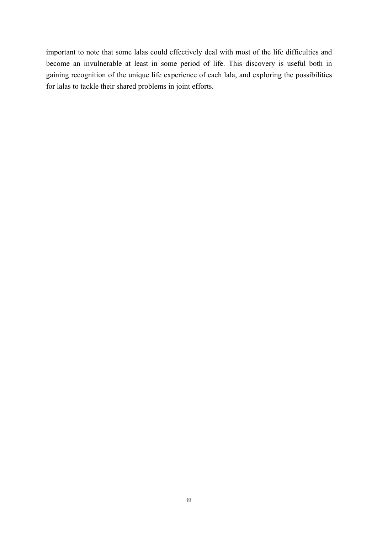important to note that some lalas could effectively deal with most of the life difficulties and become an invulnerable at least in some period of life. This discovery is useful both in gaining recognition of the unique life experience of each lala, and exploring the possibilities for lalas to tackle their shared problems in joint efforts.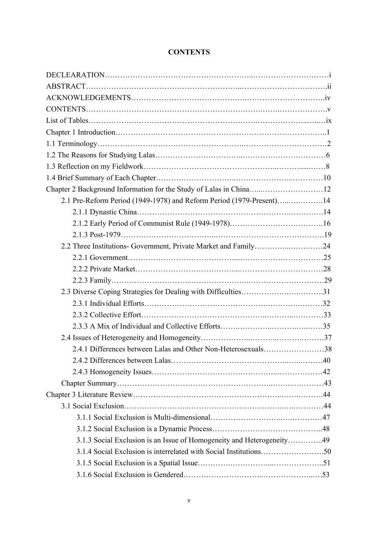| Chapter 2 Background Information for the Study of Lalas in China12    |  |
|-----------------------------------------------------------------------|--|
| 2.1 Pre-Reform Period (1949-1978) and Reform Period (1979-Present)14  |  |
|                                                                       |  |
|                                                                       |  |
|                                                                       |  |
|                                                                       |  |
|                                                                       |  |
|                                                                       |  |
|                                                                       |  |
| 2.3 Diverse Coping Strategies for Dealing with Difficulties31         |  |
|                                                                       |  |
|                                                                       |  |
|                                                                       |  |
|                                                                       |  |
| 2.4.1 Differences between Lalas and Other Non-Heterosexuals38         |  |
|                                                                       |  |
|                                                                       |  |
|                                                                       |  |
|                                                                       |  |
|                                                                       |  |
|                                                                       |  |
|                                                                       |  |
| 3.1.3 Social Exclusion is an Issue of Homogeneity and Heterogeneity49 |  |
|                                                                       |  |
|                                                                       |  |
|                                                                       |  |

## **CONTENTS**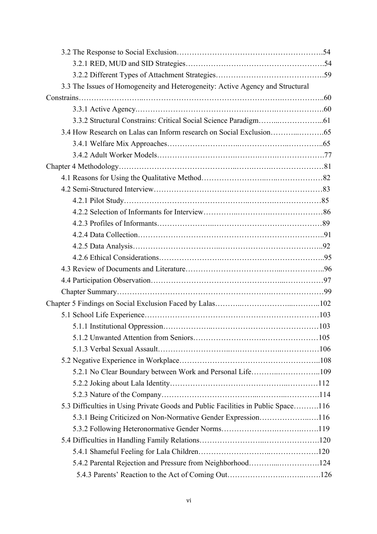| 3.3 The Issues of Homogeneity and Heterogeneity: Active Agency and Structural    |  |
|----------------------------------------------------------------------------------|--|
|                                                                                  |  |
|                                                                                  |  |
|                                                                                  |  |
|                                                                                  |  |
|                                                                                  |  |
|                                                                                  |  |
|                                                                                  |  |
|                                                                                  |  |
|                                                                                  |  |
|                                                                                  |  |
|                                                                                  |  |
|                                                                                  |  |
|                                                                                  |  |
|                                                                                  |  |
|                                                                                  |  |
|                                                                                  |  |
|                                                                                  |  |
|                                                                                  |  |
|                                                                                  |  |
|                                                                                  |  |
|                                                                                  |  |
|                                                                                  |  |
|                                                                                  |  |
|                                                                                  |  |
| 5.2.1 No Clear Boundary between Work and Personal Life109                        |  |
|                                                                                  |  |
|                                                                                  |  |
| 5.3 Difficulties in Using Private Goods and Public Facilities in Public Space116 |  |
| 5.3.1 Being Criticized on Non-Normative Gender Expression116                     |  |
|                                                                                  |  |
|                                                                                  |  |
|                                                                                  |  |
| 5.4.2 Parental Rejection and Pressure from Neighborhood124                       |  |
|                                                                                  |  |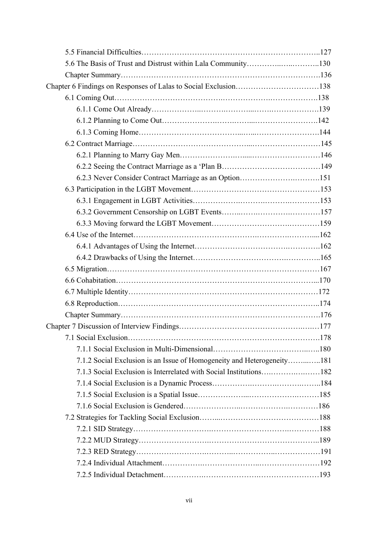| 5.6 The Basis of Trust and Distrust within Lala Community130           |  |
|------------------------------------------------------------------------|--|
|                                                                        |  |
| Chapter 6 Findings on Responses of Lalas to Social Exclusion138        |  |
|                                                                        |  |
|                                                                        |  |
|                                                                        |  |
|                                                                        |  |
|                                                                        |  |
|                                                                        |  |
|                                                                        |  |
|                                                                        |  |
|                                                                        |  |
|                                                                        |  |
|                                                                        |  |
|                                                                        |  |
|                                                                        |  |
|                                                                        |  |
|                                                                        |  |
|                                                                        |  |
|                                                                        |  |
|                                                                        |  |
|                                                                        |  |
|                                                                        |  |
|                                                                        |  |
|                                                                        |  |
|                                                                        |  |
| 7.1.2 Social Exclusion is an Issue of Homogeneity and Heterogeneity181 |  |
|                                                                        |  |
|                                                                        |  |
|                                                                        |  |
|                                                                        |  |
|                                                                        |  |
|                                                                        |  |
|                                                                        |  |
|                                                                        |  |
|                                                                        |  |
|                                                                        |  |